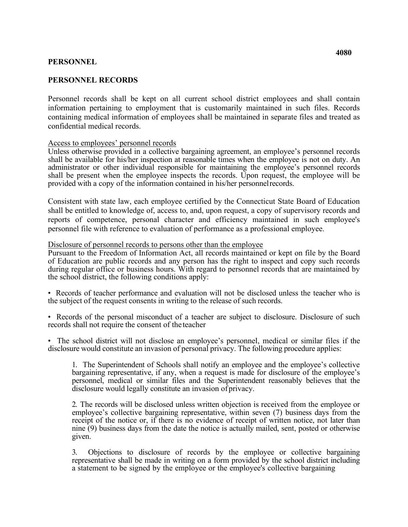## **PERSONNEL**

## **PERSONNEL RECORDS**

Personnel records shall be kept on all current school district employees and shall contain information pertaining to employment that is customarily maintained in such files. Records containing medical information of employees shall be maintained in separate files and treated as confidential medical records.

## Access to employees' personnel records

 provided with a copy of the information contained in his/her personnelrecords. Unless otherwise provided in a collective bargaining agreement, an employee's personnel records shall be available for his/her inspection at reasonable times when the employee is not on duty. An administrator or other individual responsible for maintaining the employee's personnel records shall be present when the employee inspects the records. Upon request, the employee will be

Consistent with state law, each employee certified by the Connecticut State Board of Education shall be entitled to knowledge of, access to, and, upon request, a copy of supervisory records and reports of competence, personal character and efficiency maintained in such employee's personnel file with reference to evaluation of performance as a professional employee.

## Disclosure of personnel records to persons other than the employee

Pursuant to the Freedom of Information Act, all records maintained or kept on file by the Board of Education are public records and any person has the right to inspect and copy such records during regular office or business hours. With regard to personnel records that are maintained by the school district, the following conditions apply:

 the subject of the request consents in writing to the release of such records. • Records of teacher performance and evaluation will not be disclosed unless the teacher who is

 • Records of the personal misconduct of a teacher are subject to disclosure. Disclosure of such records shall not require the consent of the teacher

 disclosure would constitute an invasion of personal privacy. The following procedure applies: • The school district will not disclose an employee's personnel, medical or similar files if the

 1. The Superintendent of Schools shall notify an employee and the employee's collective personnel, medical or similar files and the Superintendent reasonably believes that the disclosure would legally constitute an invasion of privacy. bargaining representative, if any, when a request is made for disclosure of the employee's

 receipt of the notice or, if there is no evidence of receipt of written notice, not later than 2. The records will be disclosed unless written objection is received from the employee or employee's collective bargaining representative, within seven (7) business days from the nine (9) business days from the date the notice is actually mailed, sent, posted or otherwise given.

 representative shall be made in writing on a form provided by the school district including 3. Objections to disclosure of records by the employee or collective bargaining a statement to be signed by the employee or the employee's collective bargaining